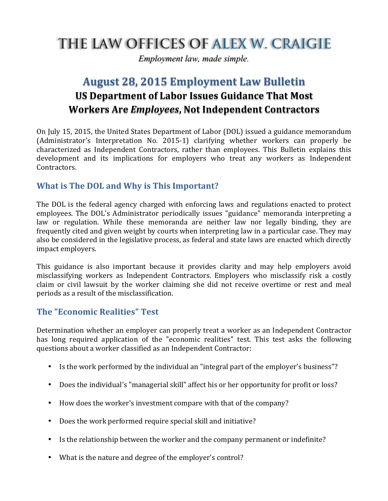# THE LAW OFFICES OF ALEX W. CRAIGIE

*Employment law, made simple.*

# **August 28, 2015 Employment Law Bulletin US Department of Labor Issues Guidance That Most Workers Are** *Employees***, Not Independent Contractors**

On July 15, 2015, the United States Department of Labor (DOL) issued a guidance memorandum (Administrator's Interpretation No. 2015-1) clarifying whether workers can properly be characterized as Independent Contractors, rather than employees. This Bulletin explains this development and its implications for employers who treat any workers as Independent Contractors. 

## **What** is The DOL and Why is This Important?

The DOL is the federal agency charged with enforcing laws and regulations enacted to protect employees. The DOL's Administrator periodically issues "guidance" memoranda interpreting a law or regulation. While these memoranda are neither law nor legally binding, they are frequently cited and given weight by courts when interpreting law in a particular case. They may also be considered in the legislative process, as federal and state laws are enacted which directly impact employers.

This guidance is also important because it provides clarity and may help employers avoid misclassifying workers as Independent Contractors. Employers who misclassify risk a costly claim or civil lawsuit by the worker claiming she did not receive overtime or rest and meal periods as a result of the misclassification.

## **The "Economic Realities" Test**

Determination whether an employer can properly treat a worker as an Independent Contractor has long required application of the "economic realities" test. This test asks the following questions about a worker classified as an Independent Contractor:

- Is the work performed by the individual an "integral part of the employer's business"?
- Does the individual's "managerial skill" affect his or her opportunity for profit or loss?
- How does the worker's investment compare with that of the company?
- Does the work performed require special skill and initiative?
- Is the relationship between the worker and the company permanent or indefinite?
- What is the nature and degree of the employer's control?